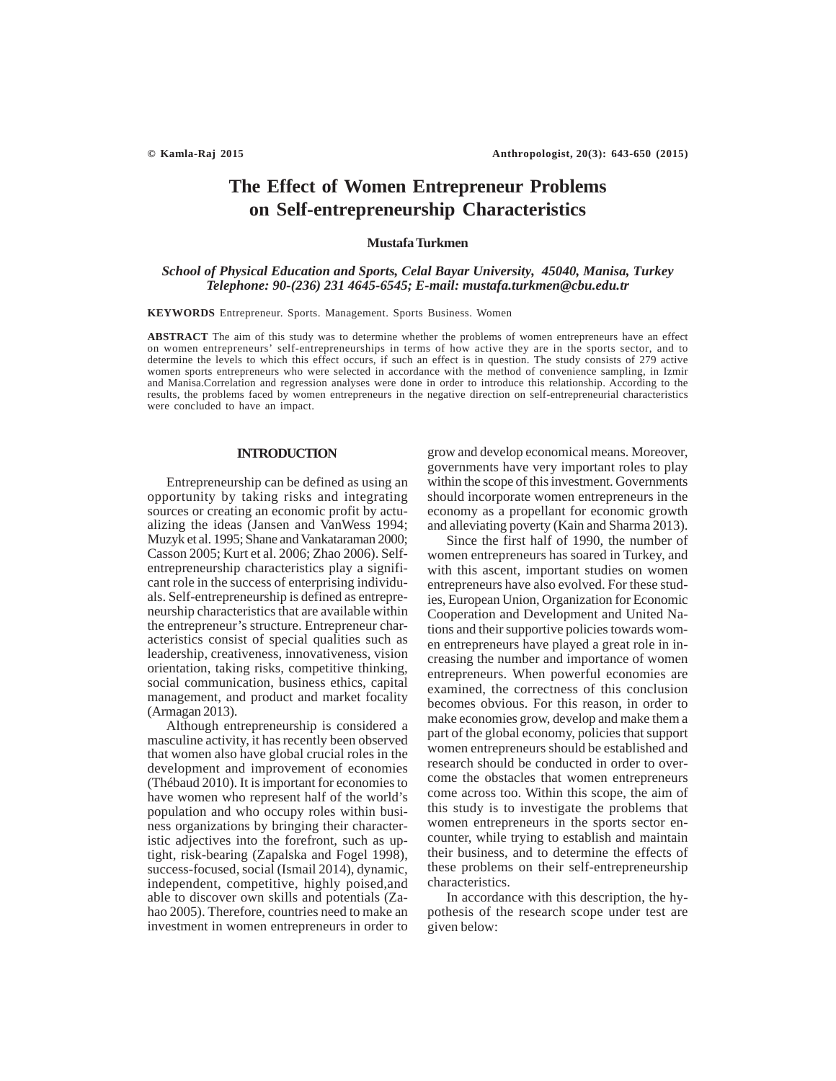# **The Effect of Women Entrepreneur Problems on Self-entrepreneurship Characteristics**

# **Mustafa Turkmen**

# *School of Physical Education and Sports, Celal Bayar University, 45040, Manisa, Turkey Telephone: 90-(236) 231 4645-6545; E-mail: mustafa.turkmen@cbu.edu.tr*

**KEYWORDS** Entrepreneur. Sports. Management. Sports Business. Women

**ABSTRACT** The aim of this study was to determine whether the problems of women entrepreneurs have an effect on women entrepreneurs' self-entrepreneurships in terms of how active they are in the sports sector, and to determine the levels to which this effect occurs, if such an effect is in question. The study consists of 279 active women sports entrepreneurs who were selected in accordance with the method of convenience sampling, in Izmir and Manisa.Correlation and regression analyses were done in order to introduce this relationship. According to the results, the problems faced by women entrepreneurs in the negative direction on self-entrepreneurial characteristics were concluded to have an impact.

### **INTRODUCTION**

Entrepreneurship can be defined as using an opportunity by taking risks and integrating sources or creating an economic profit by actualizing the ideas (Jansen and VanWess 1994; Muzyk et al. 1995; Shane and Vankataraman 2000; Casson 2005; Kurt et al. 2006; Zhao 2006). Selfentrepreneurship characteristics play a significant role in the success of enterprising individuals. Self-entrepreneurship is defined as entrepreneurship characteristics that are available within the entrepreneur's structure. Entrepreneur characteristics consist of special qualities such as leadership, creativeness, innovativeness, vision orientation, taking risks, competitive thinking, social communication, business ethics, capital management, and product and market focality (Armagan 2013).

Although entrepreneurship is considered a masculine activity, it has recently been observed that women also have global crucial roles in the development and improvement of economies (Thébaud 2010). It is important for economies to have women who represent half of the world's population and who occupy roles within business organizations by bringing their characteristic adjectives into the forefront, such as uptight, risk-bearing (Zapalska and Fogel 1998), success-focused, social (Ismail 2014), dynamic, independent, competitive, highly poised,and able to discover own skills and potentials (Zahao 2005). Therefore, countries need to make an investment in women entrepreneurs in order to grow and develop economical means. Moreover, governments have very important roles to play within the scope of this investment. Governments should incorporate women entrepreneurs in the economy as a propellant for economic growth and alleviating poverty (Kain and Sharma 2013).

Since the first half of 1990, the number of women entrepreneurs has soared in Turkey, and with this ascent, important studies on women entrepreneurs have also evolved. For these studies, European Union, Organization for Economic Cooperation and Development and United Nations and their supportive policies towards women entrepreneurs have played a great role in increasing the number and importance of women entrepreneurs. When powerful economies are examined, the correctness of this conclusion becomes obvious. For this reason, in order to make economies grow, develop and make them a part of the global economy, policies that support women entrepreneurs should be established and research should be conducted in order to overcome the obstacles that women entrepreneurs come across too. Within this scope, the aim of this study is to investigate the problems that women entrepreneurs in the sports sector encounter, while trying to establish and maintain their business, and to determine the effects of these problems on their self-entrepreneurship characteristics.

In accordance with this description, the hypothesis of the research scope under test are given below: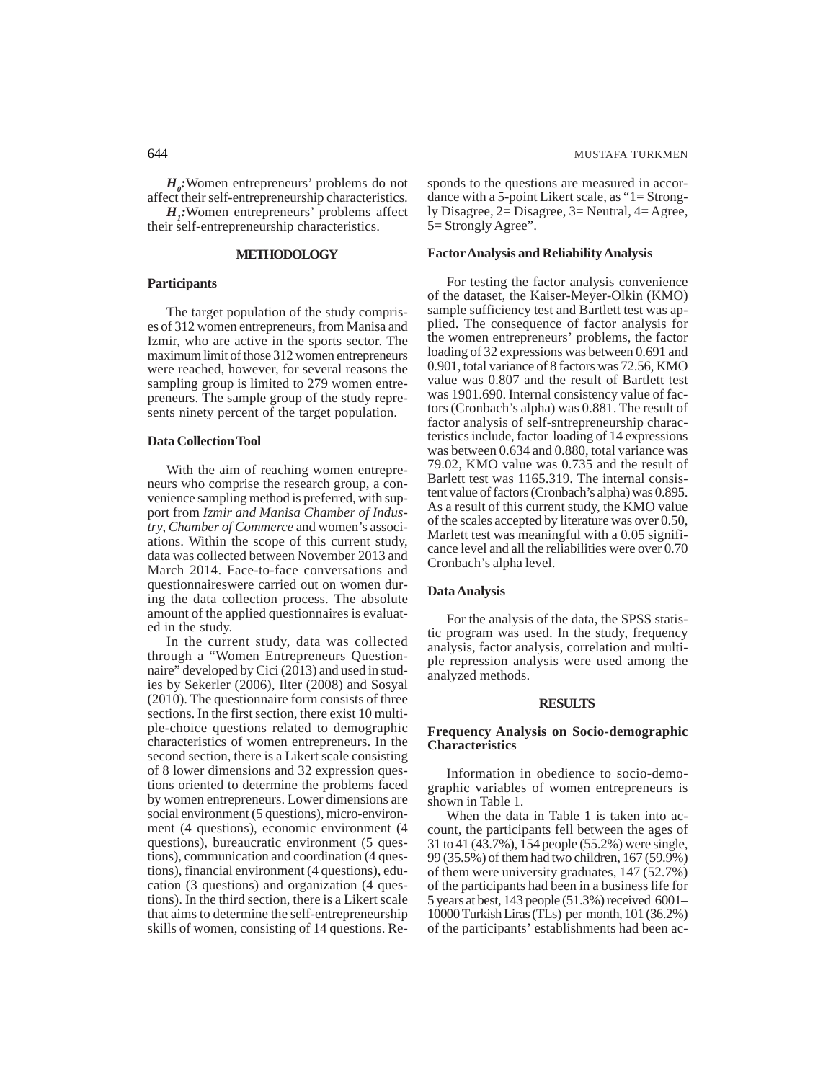$H_o$ : Women entrepreneurs' problems do not affect their self-entrepreneurship characteristics.

*H1 :*Women entrepreneurs' problems affect their self-entrepreneurship characteristics.

# **METHODOLOGY**

# **Participants**

The target population of the study comprises of 312 women entrepreneurs, from Manisa and Izmir, who are active in the sports sector. The maximum limit of those 312 women entrepreneurs were reached, however, for several reasons the sampling group is limited to 279 women entrepreneurs. The sample group of the study represents ninety percent of the target population.

# **Data Collection Tool**

With the aim of reaching women entrepreneurs who comprise the research group, a convenience sampling method is preferred, with support from *Izmir and Manisa Chamber of Industry*, *Chamber of Commerce* and women's associations. Within the scope of this current study, data was collected between November 2013 and March 2014. Face-to-face conversations and questionnaireswere carried out on women during the data collection process. The absolute amount of the applied questionnaires is evaluated in the study.

In the current study, data was collected through a "Women Entrepreneurs Questionnaire" developed by Cici (2013) and used in studies by Sekerler (2006), Ilter (2008) and Sosyal (2010). The questionnaire form consists of three sections. In the first section, there exist 10 multiple-choice questions related to demographic characteristics of women entrepreneurs. In the second section, there is a Likert scale consisting of 8 lower dimensions and 32 expression questions oriented to determine the problems faced by women entrepreneurs. Lower dimensions are social environment (5 questions), micro-environment (4 questions), economic environment (4 questions), bureaucratic environment (5 questions), communication and coordination (4 questions), financial environment (4 questions), education (3 questions) and organization (4 questions). In the third section, there is a Likert scale that aims to determine the self-entrepreneurship skills of women, consisting of 14 questions. Responds to the questions are measured in accordance with a 5-point Likert scale, as "1= Strongly Disagree, 2= Disagree, 3= Neutral, 4= Agree, 5= Strongly Agree".

# **Factor Analysis and Reliability Analysis**

For testing the factor analysis convenience of the dataset, the Kaiser-Meyer-Olkin (KMO) sample sufficiency test and Bartlett test was applied. The consequence of factor analysis for the women entrepreneurs' problems, the factor loading of 32 expressions was between 0.691 and 0.901, total variance of 8 factors was 72.56, KMO value was 0.807 and the result of Bartlett test was 1901.690. Internal consistency value of factors (Cronbach's alpha) was 0.881. The result of factor analysis of self-sntrepreneurship characteristics include, factor loading of 14 expressions was between 0.634 and 0.880, total variance was 79.02, KMO value was 0.735 and the result of Barlett test was 1165.319. The internal consistent value of factors (Cronbach's alpha) was 0.895. As a result of this current study, the KMO value of the scales accepted by literature was over 0.50, Marlett test was meaningful with a 0.05 significance level and all the reliabilities were over 0.70 Cronbach's alpha level.

# **Data Analysis**

For the analysis of the data, the SPSS statistic program was used. In the study, frequency analysis, factor analysis, correlation and multiple repression analysis were used among the analyzed methods.

### **RESULTS**

# **Frequency Analysis on Socio-demographic Characteristics**

Information in obedience to socio-demographic variables of women entrepreneurs is shown in Table 1.

When the data in Table 1 is taken into account, the participants fell between the ages of 31 to 41 (43.7%), 154 people (55.2%) were single, 99 (35.5%) of them had two children, 167 (59.9%) of them were university graduates, 147 (52.7%) of the participants had been in a business life for 5 years at best, 143 people (51.3%) received 6001– 10000 Turkish Liras (TLs) per month, 101 (36.2%) of the participants' establishments had been ac-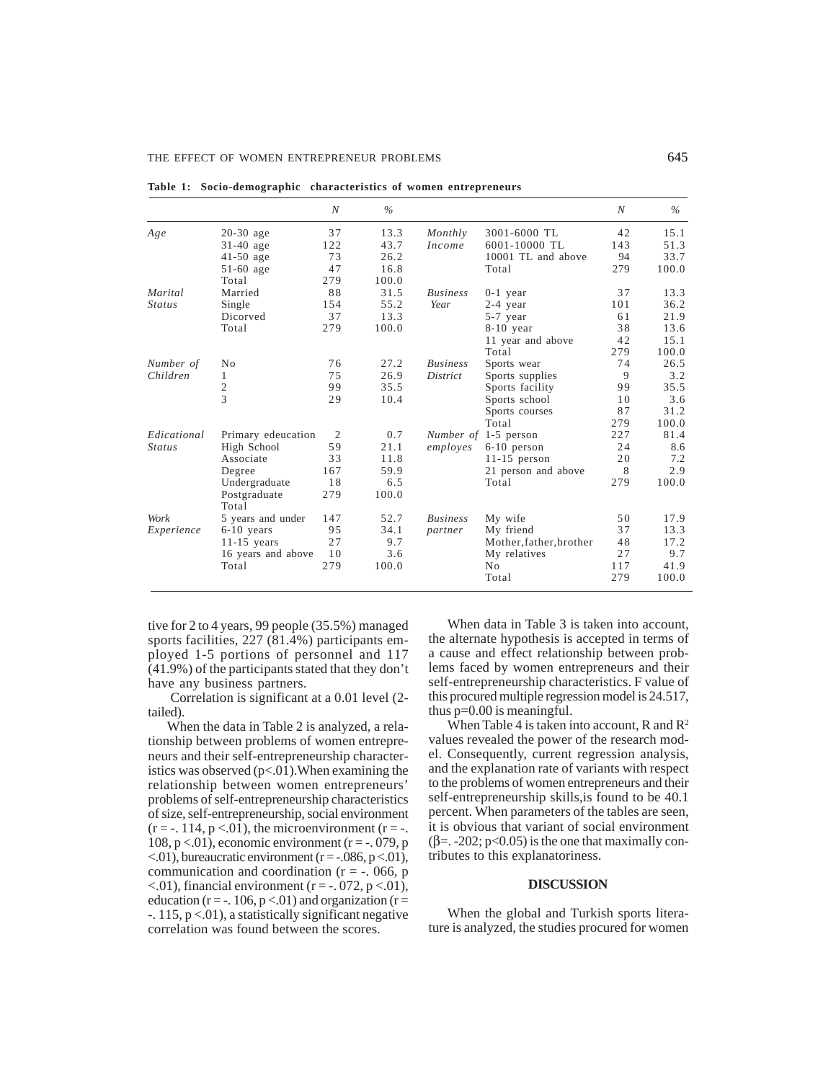|               |                       | $\boldsymbol{N}$ | $\%$  |                 |                         | N   | $\%$  |
|---------------|-----------------------|------------------|-------|-----------------|-------------------------|-----|-------|
| Age           | $20-30$ age           | 37               | 13.3  | Monthly         | 3001-6000 TL            | 42  | 15.1  |
|               | $31-40$ age           | 122              | 43.7  | Income          | 6001-10000 TL           | 143 | 51.3  |
|               | $41-50$ age           | 73               | 26.2  |                 | 10001 TL and above      | 94  | 33.7  |
|               | $51-60$ age           | 47               | 16.8  |                 | Total                   | 279 | 100.0 |
|               | Total                 | 279              | 100.0 |                 |                         |     |       |
| Marital       | Married               | 88               | 31.5  | <b>Business</b> | $0-1$ year              | 37  | 13.3  |
| <i>Status</i> | Single                | 154              | 55.2  | Year            | 2-4 year                | 101 | 36.2  |
|               | Dicorved              | 37               | 13.3  |                 | 5-7 year                | 61  | 21.9  |
|               | Total                 | 279              | 100.0 |                 | $8-10$ year             | 38  | 13.6  |
|               |                       |                  |       |                 | 11 year and above       | 42  | 15.1  |
|               |                       |                  |       |                 | Total                   | 279 | 100.0 |
| Number of     | No                    | 76               | 27.2  | <b>Business</b> | Sports wear             | 74  | 26.5  |
| Children      | 1                     | 75               | 26.9  | District        | Sports supplies         | 9   | 3.2   |
|               | $\mathfrak{2}$        | 99               | 35.5  |                 | Sports facility         | 99  | 35.5  |
|               | 3                     | 29               | 10.4  |                 | Sports school           | 10  | 3.6   |
|               |                       |                  |       |                 | Sports courses          | 87  | 31.2  |
|               |                       |                  |       |                 | Total                   | 279 | 100.0 |
| Edicational   | Primary edeucation    | $\overline{2}$   | 0.7   |                 | Number of 1-5 person    | 227 | 81.4  |
| <i>Status</i> | High School           | 59               | 21.1  | employes        | $6-10$ person           | 24  | 8.6   |
|               | Associate             | 33               | 11.8  |                 | $11-15$ person          | 20  | 7.2   |
|               | Degree                | 167              | 59.9  |                 | 21 person and above     | 8   | 2.9   |
|               | Undergraduate         | 18               | 6.5   |                 | Total                   | 279 | 100.0 |
|               | Postgraduate<br>Total | 279              | 100.0 |                 |                         |     |       |
| Work          | 5 years and under     | 147              | 52.7  | <i>Business</i> | My wife                 | 50  | 17.9  |
| Experience    | $6-10$ years          | 95               | 34.1  | partner         | My friend               | 37  | 13.3  |
|               | $11-15$ years         | 27               | 9.7   |                 | Mother, father, brother | 48  | 17.2  |
|               | 16 years and above    | 10               | 3.6   |                 | My relatives            | 27  | 9.7   |
|               | Total                 | 279              | 100.0 |                 | No                      | 117 | 41.9  |
|               |                       |                  |       |                 | Total                   | 279 | 100.0 |

**Table 1: Socio-demographic characteristics of women entrepreneurs**

tive for 2 to 4 years, 99 people (35.5%) managed sports facilities, 227 (81.4%) participants employed 1-5 portions of personnel and 117 (41.9%) of the participants stated that they don't have any business partners.

Correlation is significant at a 0.01 level (2 tailed).

When the data in Table 2 is analyzed, a relationship between problems of women entrepreneurs and their self-entrepreneurship characteristics was observed  $(p<.01)$ . When examining the relationship between women entrepreneurs' problems of self-entrepreneurship characteristics of size, self-entrepreneurship, social environment  $(r = -114, p < 01)$ , the microenvironment  $(r = -114, p < 01)$ 108, p <.01), economic environment ( $r = -0.079$ , p  $\langle 0.01 \rangle$ , bureaucratic environment (r = -.086, p $\langle 0.01 \rangle$ , communication and coordination ( $r = -0.066$ , p  $\langle 0.01 \rangle$ , financial environment (r = -. 072, p $\langle 0.01 \rangle$ , education ( $r = -106$ ,  $p < 01$ ) and organization ( $r =$  $-115$ ,  $p < 01$ ), a statistically significant negative correlation was found between the scores.

When data in Table 3 is taken into account, the alternate hypothesis is accepted in terms of a cause and effect relationship between problems faced by women entrepreneurs and their self-entrepreneurship characteristics. F value of this procured multiple regression model is 24.517, thus p=0.00 is meaningful.

When Table 4 is taken into account, R and  $\mathbb{R}^2$ values revealed the power of the research model. Consequently, current regression analysis, and the explanation rate of variants with respect to the problems of women entrepreneurs and their self-entrepreneurship skills,is found to be 40.1 percent. When parameters of the tables are seen, it is obvious that variant of social environment  $(\beta = -202; \text{p} < 0.05)$  is the one that maximally contributes to this explanatoriness.

### **DISCUSSION**

When the global and Turkish sports literature is analyzed, the studies procured for women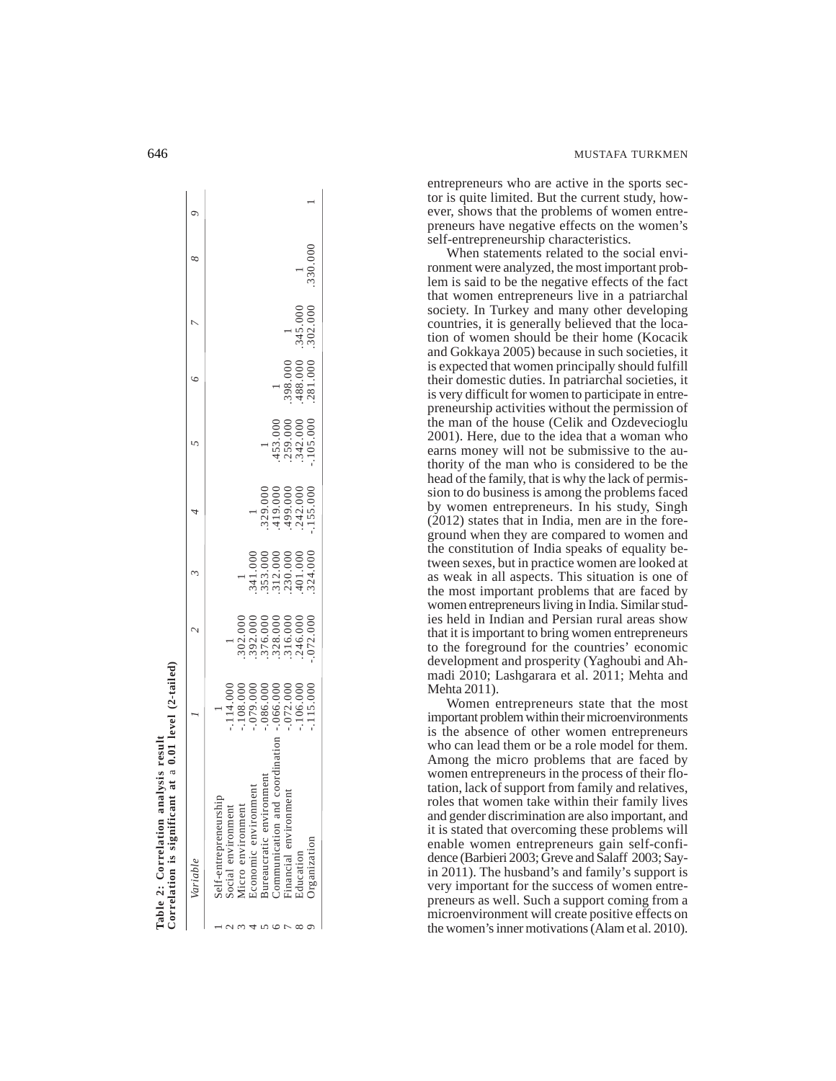entrepreneurs who are active in the sports sector is quite limited. But the current study, however, shows that the problems of women entrepreneurs have negative effects on the women's self-entrepreneurship characteristics.

When statements related to the social environment were analyzed, the most important problem is said to be the negative effects of the fact that women entrepreneurs live in a patriarchal society. In Turkey and many other developing countries, it is generally believed that the location of women should be their home (Kocacik and Gokkaya 2005) because in such societies, it is expected that women principally should fulfill their domestic duties. In patriarchal societies, it is very difficult for women to participate in entrepreneurship activities without the permission of the man of the house (Celik and Ozdevecioglu 2001). Here, due to the idea that a woman who earns money will not be submissive to the authority of the man who is considered to be the head of the family, that is why the lack of permission to do business is among the problems faced by women entrepreneurs. In his study, Singh (2012) states that in India, men are in the foreground when they are compared to women and the constitution of India speaks of equality between sexes, but in practice women are looked at as weak in all aspects. This situation is one of the most important problems that are faced by women entrepreneurs living in India. Similar studies held in Indian and Persian rural areas show that it is important to bring women entrepreneurs to the foreground for the countries' economic development and prosperity (Yaghoubi and Ahmadi 2010; Lashgarara et al. 2011; Mehta and Mehta 2011).

Women entrepreneurs state that the most important problem within their microenvironments is the absence of other women entrepreneurs who can lead them or be a role model for them. Among the micro problems that are faced by women entrepreneurs in the process of their flotation, lack of support from family and relatives, roles that women take within their family lives and gender discrimination are also important, and it is stated that overcoming these problems will enable women entrepreneurs gain self-confidence (Barbieri 2003; Greve and Salaff 2003; Sayin 2011). The husband's and family's support is very important for the success of women entrepreneurs as well. Such a support coming from a microenvironment will create positive effects on the women's inner motivations (Alam et al. 2010).

| Correlation is significant at a 0.01 level (2-tailed)<br>Table 2: Correlation analysis result |                                                                     |                                                                                                                                                                                                                                                                                                                |                                                                                                        |                                                      |                                        |                      |         |  |
|-----------------------------------------------------------------------------------------------|---------------------------------------------------------------------|----------------------------------------------------------------------------------------------------------------------------------------------------------------------------------------------------------------------------------------------------------------------------------------------------------------|--------------------------------------------------------------------------------------------------------|------------------------------------------------------|----------------------------------------|----------------------|---------|--|
| Variable                                                                                      |                                                                     |                                                                                                                                                                                                                                                                                                                |                                                                                                        |                                                      |                                        |                      |         |  |
| Self-entrepreneurship                                                                         |                                                                     |                                                                                                                                                                                                                                                                                                                |                                                                                                        |                                                      |                                        |                      |         |  |
| social environment                                                                            |                                                                     |                                                                                                                                                                                                                                                                                                                |                                                                                                        |                                                      |                                        |                      |         |  |
| dicro environment                                                                             |                                                                     |                                                                                                                                                                                                                                                                                                                |                                                                                                        |                                                      |                                        |                      |         |  |
| ιeπt<br>Economic environm                                                                     |                                                                     |                                                                                                                                                                                                                                                                                                                |                                                                                                        |                                                      |                                        |                      |         |  |
| $n$ en<br>3 ureaucratic environ                                                               | $-114.000$<br>$-108.000$<br>$-079.000$<br>$-000.000$<br>$-0086.000$ | $\begin{array}{l} .0000\\ .0000\\ .0000\\ .0000\\ .0000\\ .0000\\ .0000\\ .0000\\ .0000\\ .0000\\ .0000\\ .0000\\ .0000\\ .0000\\ .0000\\ .0000\\ .0000\\ .0000\\ .0000\\ .0000\\ .0000\\ .0000\\ .0000\\ .0000\\ .0000\\ .0000\\ .0000\\ .0000\\ .0000\\ .0000\\ .0000\\ .0000\\ .0000\\ .0000\\ .0000\\ .00$ | $\begin{array}{c} 3\,41.000\\ 3\,53.000\\ 3\,12.000\\ 2\,30.000\\ 4\,01.000\\ 4\,01.000\\ \end{array}$ |                                                      |                                        |                      |         |  |
| Communication and                                                                             |                                                                     |                                                                                                                                                                                                                                                                                                                |                                                                                                        |                                                      |                                        |                      |         |  |
| Financial environment                                                                         | $.072.000$<br>$.106.000$                                            |                                                                                                                                                                                                                                                                                                                |                                                                                                        | $.453.000$<br>$.259.000$<br>$.342.000$<br>$.105.000$ |                                        |                      |         |  |
| ducation                                                                                      |                                                                     |                                                                                                                                                                                                                                                                                                                |                                                                                                        |                                                      | $.398.000$<br>$.488.000$<br>$.281.000$ | .345.000<br>.302.000 |         |  |
| <b>Drganization</b>                                                                           | .115.000                                                            |                                                                                                                                                                                                                                                                                                                |                                                                                                        |                                                      |                                        |                      | 330.000 |  |
|                                                                                               |                                                                     |                                                                                                                                                                                                                                                                                                                |                                                                                                        |                                                      |                                        |                      |         |  |

 $\overline{\phantom{a}}$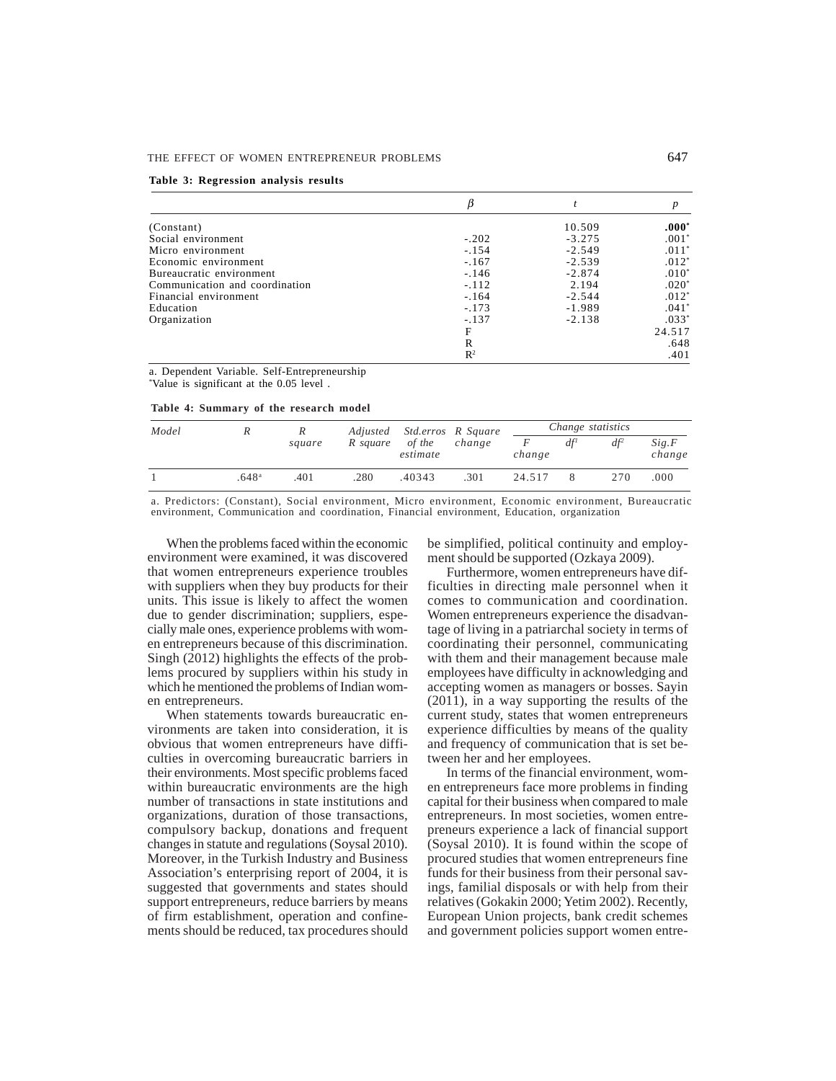### THE EFFECT OF WOMEN ENTREPRENEUR PROBLEMS 647

### **Table 3: Regression analysis results**

|                                |                |          | $\boldsymbol{p}$ |
|--------------------------------|----------------|----------|------------------|
| (Constant)                     |                | 10.509   | $.000*$          |
| Social environment             | $-.202$        | $-3.275$ | $.001*$          |
| Micro environment              | $-.154$        | $-2.549$ | $.011*$          |
| Economic environment           | $-.167$        | $-2.539$ | $.012*$          |
| Bureaucratic environment       | $-.146$        | $-2.874$ | $.010*$          |
| Communication and coordination | $-.112$        | 2.194    | $.020*$          |
| Financial environment          | $-.164$        | $-2.544$ | $.012*$          |
| Education                      | $-.173$        | $-1.989$ | $.041*$          |
| Organization                   | $-.137$        | $-2.138$ | $.033*$          |
|                                | F              |          | 24.517           |
|                                | R              |          | .648             |
|                                | $\mathbb{R}^2$ |          | .401             |

a. Dependent Variable. Self-Entrepreneurship \* Value is significant at the 0.05 level .

| Table 4: Summary of the research model |  |
|----------------------------------------|--|
|----------------------------------------|--|

| Model |                   | R      |          | Adjusted Std.erros R Square |        |        |          | Change statistics |                 |
|-------|-------------------|--------|----------|-----------------------------|--------|--------|----------|-------------------|-----------------|
|       |                   | square | R square | of the<br>estimate          | change | change | $df^{I}$ | $df^2$            | Sig.F<br>change |
|       | .648 <sup>a</sup> | .401   | .280     | .40343                      | .301   | 24.517 |          | 2.70              | .000            |

a. Predictors: (Constant), Social environment, Micro environment, Economic environment, Bureaucratic environment, Communication and coordination, Financial environment, Education, organization

When the problems faced within the economic environment were examined, it was discovered that women entrepreneurs experience troubles with suppliers when they buy products for their units. This issue is likely to affect the women due to gender discrimination; suppliers, especially male ones, experience problems with women entrepreneurs because of this discrimination. Singh (2012) highlights the effects of the problems procured by suppliers within his study in which he mentioned the problems of Indian women entrepreneurs.

When statements towards bureaucratic environments are taken into consideration, it is obvious that women entrepreneurs have difficulties in overcoming bureaucratic barriers in their environments. Most specific problems faced within bureaucratic environments are the high number of transactions in state institutions and organizations, duration of those transactions, compulsory backup, donations and frequent changes in statute and regulations (Soysal 2010). Moreover, in the Turkish Industry and Business Association's enterprising report of 2004, it is suggested that governments and states should support entrepreneurs, reduce barriers by means of firm establishment, operation and confinements should be reduced, tax procedures should be simplified, political continuity and employment should be supported (Ozkaya 2009).

Furthermore, women entrepreneurs have difficulties in directing male personnel when it comes to communication and coordination. Women entrepreneurs experience the disadvantage of living in a patriarchal society in terms of coordinating their personnel, communicating with them and their management because male employees have difficulty in acknowledging and accepting women as managers or bosses. Sayin (2011), in a way supporting the results of the current study, states that women entrepreneurs experience difficulties by means of the quality and frequency of communication that is set between her and her employees.

In terms of the financial environment, women entrepreneurs face more problems in finding capital for their business when compared to male entrepreneurs. In most societies, women entrepreneurs experience a lack of financial support (Soysal 2010). It is found within the scope of procured studies that women entrepreneurs fine funds for their business from their personal savings, familial disposals or with help from their relatives (Gokakin 2000; Yetim 2002). Recently, European Union projects, bank credit schemes and government policies support women entre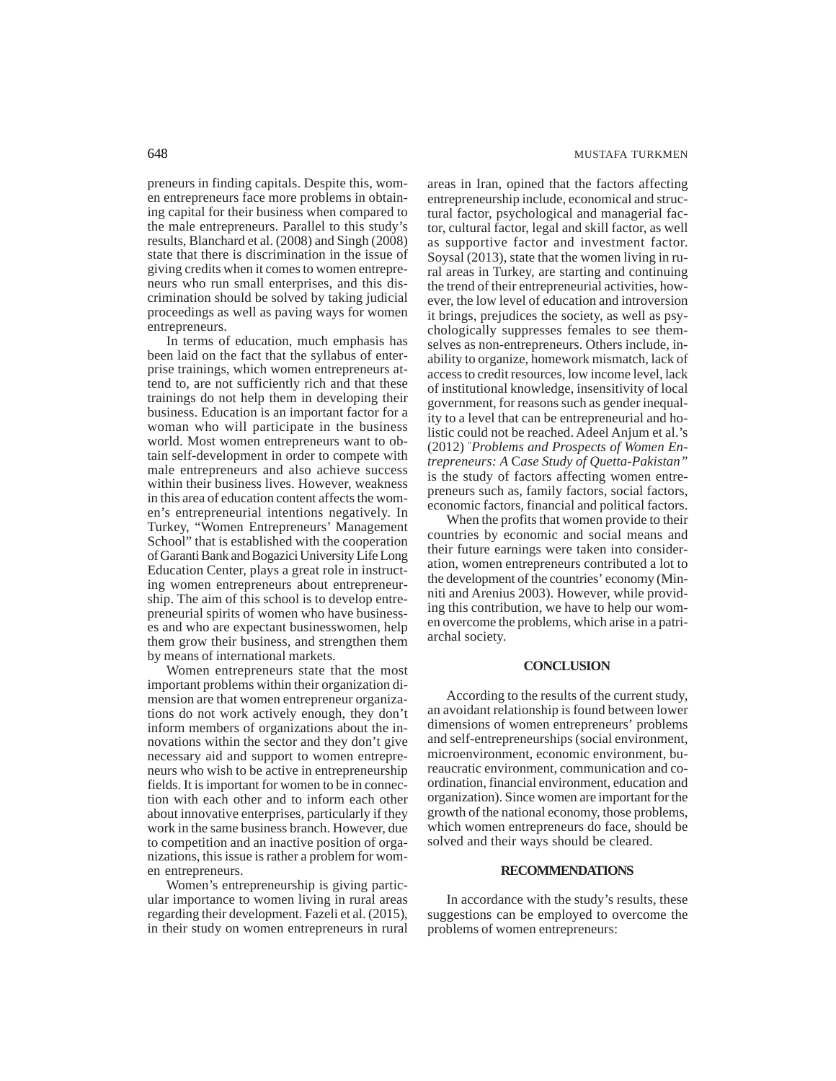preneurs in finding capitals. Despite this, women entrepreneurs face more problems in obtaining capital for their business when compared to the male entrepreneurs. Parallel to this study's results, Blanchard et al. (2008) and Singh (2008) state that there is discrimination in the issue of giving credits when it comes to women entrepreneurs who run small enterprises, and this discrimination should be solved by taking judicial proceedings as well as paving ways for women entrepreneurs.

In terms of education, much emphasis has been laid on the fact that the syllabus of enterprise trainings, which women entrepreneurs attend to, are not sufficiently rich and that these trainings do not help them in developing their business. Education is an important factor for a woman who will participate in the business world. Most women entrepreneurs want to obtain self-development in order to compete with male entrepreneurs and also achieve success within their business lives. However, weakness in this area of education content affects the women's entrepreneurial intentions negatively. In Turkey, "Women Entrepreneurs' Management School" that is established with the cooperation of Garanti Bank and Bogazici University Life Long Education Center, plays a great role in instructing women entrepreneurs about entrepreneurship. The aim of this school is to develop entrepreneurial spirits of women who have businesses and who are expectant businesswomen, help them grow their business, and strengthen them by means of international markets.

Women entrepreneurs state that the most important problems within their organization dimension are that women entrepreneur organizations do not work actively enough, they don't inform members of organizations about the innovations within the sector and they don't give necessary aid and support to women entrepreneurs who wish to be active in entrepreneurship fields. It is important for women to be in connection with each other and to inform each other about innovative enterprises, particularly if they work in the same business branch. However, due to competition and an inactive position of organizations, this issue is rather a problem for women entrepreneurs.

Women's entrepreneurship is giving particular importance to women living in rural areas regarding their development. Fazeli et al. (2015), in their study on women entrepreneurs in rural areas in Iran, opined that the factors affecting entrepreneurship include, economical and structural factor, psychological and managerial factor, cultural factor, legal and skill factor, as well as supportive factor and investment factor. Soysal (2013), state that the women living in rural areas in Turkey, are starting and continuing the trend of their entrepreneurial activities, however, the low level of education and introversion it brings, prejudices the society, as well as psychologically suppresses females to see themselves as non-entrepreneurs. Others include, inability to organize, homework mismatch, lack of access to credit resources, low income level, lack of institutional knowledge, insensitivity of local government, for reasons such as gender inequality to a level that can be entrepreneurial and holistic could not be reached. Adeel Anjum et al.'s (2012) " *Problems and Prospects of Women Entrepreneurs: A* C*ase Study of Quetta-Pakistan"* is the study of factors affecting women entrepreneurs such as, family factors, social factors, economic factors, financial and political factors.

When the profits that women provide to their countries by economic and social means and their future earnings were taken into consideration, women entrepreneurs contributed a lot to the development of the countries' economy (Minniti and Arenius 2003). However, while providing this contribution, we have to help our women overcome the problems, which arise in a patriarchal society.

### **CONCLUSION**

According to the results of the current study, an avoidant relationship is found between lower dimensions of women entrepreneurs' problems and self-entrepreneurships (social environment, microenvironment, economic environment, bureaucratic environment, communication and coordination, financial environment, education and organization). Since women are important for the growth of the national economy, those problems, which women entrepreneurs do face, should be solved and their ways should be cleared.

### **RECOMMENDATIONS**

In accordance with the study's results, these suggestions can be employed to overcome the problems of women entrepreneurs: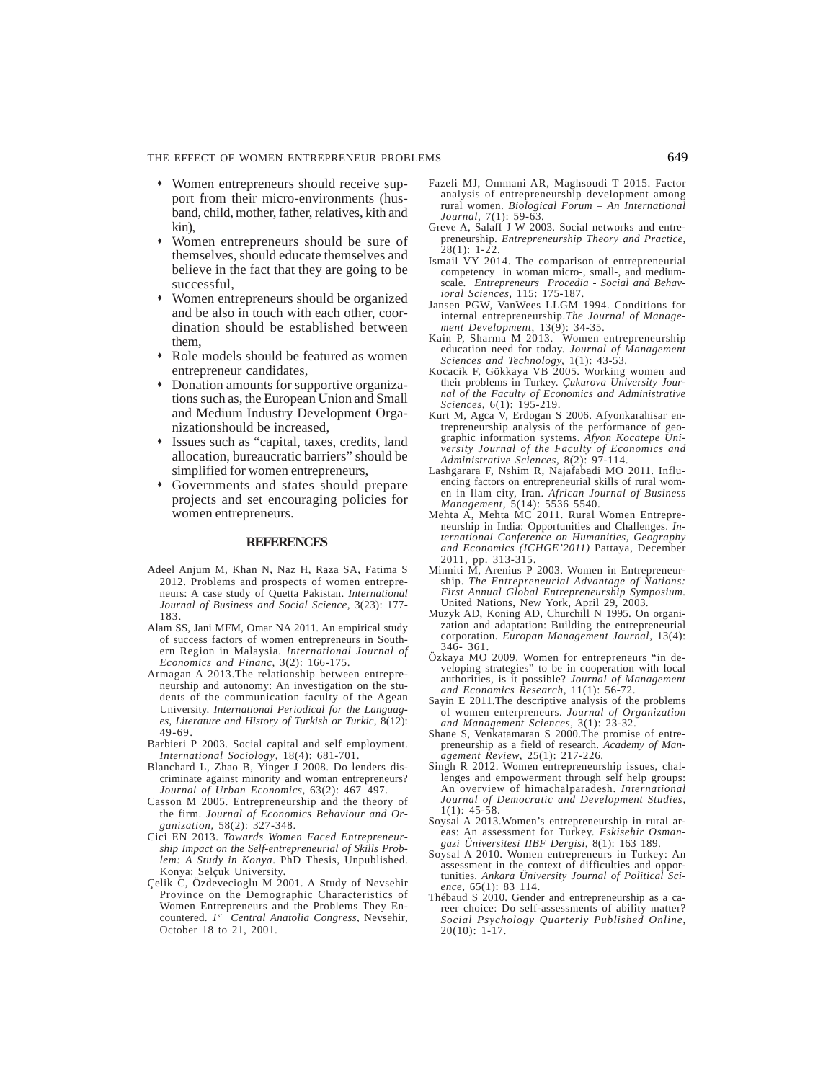### THE EFFECT OF WOMEN ENTREPRENEUR PROBLEMS 649

- Women entrepreneurs should receive support from their micro-environments (husband, child, mother, father, relatives, kith and kin),
- Women entrepreneurs should be sure of themselves, should educate themselves and believe in the fact that they are going to be successful,
- Women entrepreneurs should be organized and be also in touch with each other, coordination should be established between them,
- Role models should be featured as women entrepreneur candidates,
- Donation amounts for supportive organizations such as, the European Union and Small and Medium Industry Development Organizationshould be increased,
- Issues such as "capital, taxes, credits, land allocation, bureaucratic barriers" should be simplified for women entrepreneurs,
- Governments and states should prepare projects and set encouraging policies for women entrepreneurs.

### **REFERENCES**

- Adeel Anjum M, Khan N, Naz H, Raza SA, Fatima S 2012. Problems and prospects of women entrepreneurs: A case study of Quetta Pakistan. *International Journal of Business and Social Science,* 3(23): 177- 183.
- Alam SS, Jani MFM, Omar NA 2011. An empirical study of success factors of women entrepreneurs in Southern Region in Malaysia. *International Journal of Economics and Financ,* 3(2): 166-175.
- Armagan A 2013.The relationship between entrepreneurship and autonomy: An investigation on the students of the communication faculty of the Agean University. *International Periodical for the Languages, Literature and History of Turkish or Turkic*, 8(12): 49-69.
- Barbieri P 2003. Social capital and self employment. *International Sociology*, 18(4): 681-701.
- Blanchard L, Zhao B, Yinger J 2008. Do lenders discriminate against minority and woman entrepreneurs? *Journal of Urban Economics,* 63(2): 467–497.
- Casson M 2005. Entrepreneurship and the theory of the firm. *Journal of Economics Behaviour and Organization,* 58(2): 327-348.
- Cici EN 2013. *Towards Women Faced Entrepreneurship Impact on the Self-entrepreneurial of Skills Problem: A Study in Konya*. PhD Thesis, Unpublished. Konya: Selçuk University.
- Çelik C, Özdevecioglu M 2001. A Study of Nevsehir Province on the Demographic Characteristics of Women Entrepreneurs and the Problems They Encountered. *1st Central Anatolia Congress*, Nevsehir, October 18 to 21, 2001.
- Fazeli MJ, Ommani AR, Maghsoudi T 2015. Factor analysis of entrepreneurship development among rural women. *Biological Forum – An International Journal,* 7(1): 59-63.
- Greve A, Salaff J W 2003. Social networks and entrepreneurship. *Entrepreneurship Theory and Practice*, 28(1): 1-22.
- Ismail VY 2014. The comparison of entrepreneurial competency in woman micro-, small-, and mediumscale. *Entrepreneurs Procedia - Social and Behavioral Sciences,* 115: 175-187.
- Jansen PGW, VanWees LLGM 1994. Conditions for internal entrepreneurship.*The Journal of Management Development*, 13(9): 34-35.
- Kain P, Sharma M 2013. Women entrepreneurship education need for today. *Journal of Management Sciences and Technology,* 1(1): 43-53.
- Kocacik F, Gökkaya VB 2005. Working women and their problems in Turkey. *Çukurova University Journal of the Faculty of Economics and Administrative Sciences*, 6(1): 195-219.
- Kurt M, Agca V, Erdogan S 2006. Afyonkarahisar entrepreneurship analysis of the performance of geographic information systems. *Afyon Kocatepe University Journal of the Faculty of Economics and Administrative Sciences*, 8(2): 97-114.
- Lashgarara F, Nshim R, Najafabadi MO 2011. Influencing factors on entrepreneurial skills of rural women in Ilam city, Iran. *African Journal of Business Management,* 5(14): 5536 5540.
- Mehta A, Mehta MC 2011. Rural Women Entrepreneurship in India: Opportunities and Challenges. *International Conference on Humanities, Geography and Economics (ICHGE'2011)* Pattaya, December
- 2011, pp. 313-315. Minniti M, Arenius P 2003. Women in Entrepreneurship. *The Entrepreneurial Advantage of Nations: First Annual Global Entrepreneurship Symposium.* United Nations, New York, April 29, 2003.
- Muzyk AD, Koning AD, Churchill N 1995. On organization and adaptation: Building the entrepreneurial corporation. *Europan Management Journal*, 13(4): 346- 361.
- Özkaya MO 2009. Women for entrepreneurs "in developing strategies" to be in cooperation with local authorities, is it possible? *Journal of Management and Economics Research*, 11(1): 56-72.
- Sayin E 2011.The descriptive analysis of the problems of women enterpreneurs. *Journal of Organization and Management Sciences,* 3(1): 23-32.
- Shane S, Venkatamaran S 2000.The promise of entrepreneurship as a field of research. *Academy of Management Review*, 25(1): 217-226.
- Singh R 2012. Women entrepreneurship issues, challenges and empowerment through self help groups: An overview of himachalparadesh. *International Journal of Democratic and Development Studies*,  $1(1): 45-\frac{5}{5}8.$
- Soysal A 2013.Women's entrepreneurship in rural areas: An assessment for Turkey. *Eskisehir Osmangazi Üniversitesi IIBF Dergisi*, 8(1): 163 189.
- Soysal A 2010. Women entrepreneurs in Turkey: An assessment in the context of difficulties and opportunities. *Ankara Üniversity Journal of Political Science*, 65(1): 83 114.
- Thébaud S 2010. Gender and entrepreneurship as a career choice: Do self-assessments of ability matter? *Social Psychology Quarterly Published Online*, 20(10): 1-17.